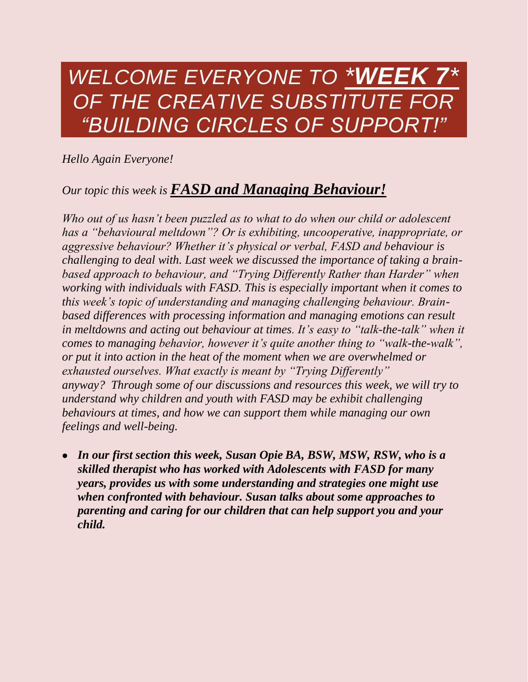## *WELCOME EVERYONE TO \*WEEK 7\* OF THE CREATIVE SUBSTITUTE FOR "BUILDING CIRCLES OF SUPPORT!"*

*Hello Again Everyone!* 

## *Our topic this week is FASD and Managing Behaviour!*

*Who out of us hasn't been puzzled as to what to do when our child or adolescent has a "behavioural meltdown"? Or is exhibiting, uncooperative, inappropriate, or aggressive behaviour? Whether it's physical or verbal, FASD and behaviour is challenging to deal with. Last week we discussed the importance of taking a brainbased approach to behaviour, and "Trying Differently Rather than Harder" when working with individuals with FASD. This is especially important when it comes to this week's topic of understanding and managing challenging behaviour. Brainbased differences with processing information and managing emotions can result in meltdowns and acting out behaviour at times. It's easy to "talk-the-talk" when it comes to managing behavior, however it's quite another thing to "walk-the-walk", or put it into action in the heat of the moment when we are overwhelmed or exhausted ourselves. What exactly is meant by "Trying Differently" anyway? Through some of our discussions and resources this week, we will try to understand why children and youth with FASD may be exhibit challenging behaviours at times, and how we can support them while managing our own feelings and well-being.*

 *In our first section this week, Susan Opie BA, BSW, MSW, RSW, who is a skilled therapist who has worked with Adolescents with FASD for many years, provides us with some understanding and strategies one might use when confronted with behaviour. Susan talks about some approaches to parenting and caring for our children that can help support you and your child.*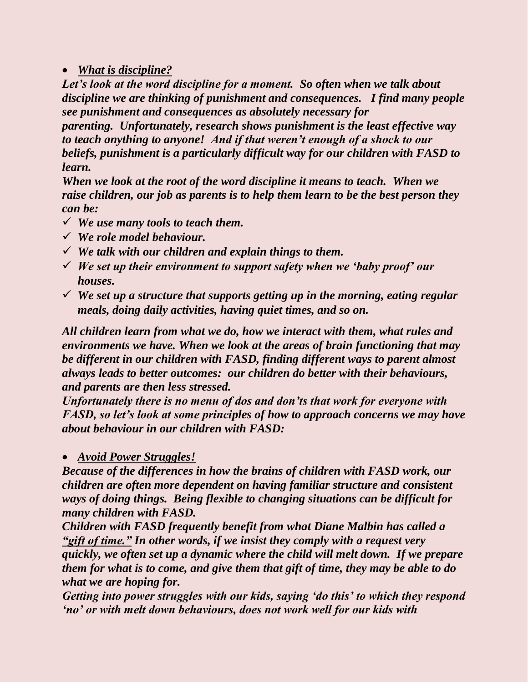*What is discipline?*

*Let's look at the word discipline for a moment. So often when we talk about discipline we are thinking of punishment and consequences. I find many people see punishment and consequences as absolutely necessary for* 

*parenting. Unfortunately, research shows punishment is the least effective way to teach anything to anyone! And if that weren't enough of a shock to our beliefs, punishment is a particularly difficult way for our children with FASD to learn.*

*When we look at the root of the word discipline it means to teach. When we raise children, our job as parents is to help them learn to be the best person they can be:*

- *We use many tools to teach them.*
- *We role model behaviour.*
- *We talk with our children and explain things to them.*
- *We set up their environment to support safety when we 'baby proof' our houses.*
- *We set up a structure that supports getting up in the morning, eating regular meals, doing daily activities, having quiet times, and so on.*

*All children learn from what we do, how we interact with them, what rules and environments we have. When we look at the areas of brain functioning that may be different in our children with FASD, finding different ways to parent almost always leads to better outcomes: our children do better with their behaviours, and parents are then less stressed.*

*Unfortunately there is no menu of dos and don'ts that work for everyone with FASD, so let's look at some principles of how to approach concerns we may have about behaviour in our children with FASD:*

## *Avoid Power Struggles!*

*Because of the differences in how the brains of children with FASD work, our children are often more dependent on having familiar structure and consistent ways of doing things. Being flexible to changing situations can be difficult for many children with FASD.*

*Children with FASD frequently benefit from what Diane Malbin has called a "gift of time." In other words, if we insist they comply with a request very quickly, we often set up a dynamic where the child will melt down. If we prepare them for what is to come, and give them that gift of time, they may be able to do what we are hoping for.*

*Getting into power struggles with our kids, saying 'do this' to which they respond 'no' or with melt down behaviours, does not work well for our kids with*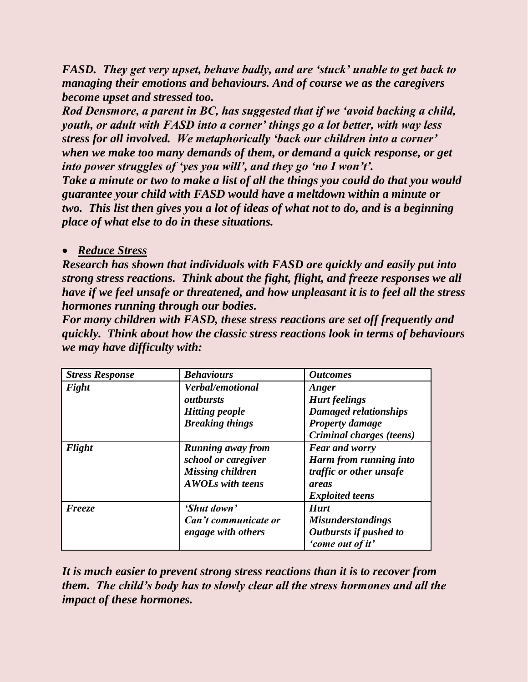*FASD. They get very upset, behave badly, and are 'stuck' unable to get back to managing their emotions and behaviours. And of course we as the caregivers become upset and stressed too.*

*Rod Densmore, a parent in BC, has suggested that if we 'avoid backing a child, youth, or adult with FASD into a corner' things go a lot better, with way less stress for all involved. We metaphorically 'back our children into a corner' when we make too many demands of them, or demand a quick response, or get into power struggles of 'yes you will', and they go 'no I won't'.*

*Take a minute or two to make a list of all the things you could do that you would guarantee your child with FASD would have a meltdown within a minute or two. This list then gives you a lot of ideas of what not to do, and is a beginning place of what else to do in these situations.*

## *Reduce Stress*

*Research has shown that individuals with FASD are quickly and easily put into strong stress reactions. Think about the fight, flight, and freeze responses we all have if we feel unsafe or threatened, and how unpleasant it is to feel all the stress hormones running through our bodies.*

*For many children with FASD, these stress reactions are set off frequently and quickly. Think about how the classic stress reactions look in terms of behaviours we may have difficulty with:* 

| <b>Stress Response</b> | <b>Behaviours</b>        | <b>Outcomes</b>          |
|------------------------|--------------------------|--------------------------|
| Fight                  | Verbal/emotional         | Anger                    |
|                        | outhursts                | <b>Hurt</b> feelings     |
|                        | <b>Hitting people</b>    | Damaged relationships    |
|                        | <b>Breaking things</b>   | <b>Property damage</b>   |
|                        |                          | Criminal charges (teens) |
| Flight                 | <b>Running away from</b> | <b>Fear and worry</b>    |
|                        | school or caregiver      | Harm from running into   |
|                        | Missing children         | traffic or other unsafe  |
|                        | <b>AWOLs with teens</b>  | areas                    |
|                        |                          | <b>Exploited teens</b>   |
| Freeze                 | 'Shut down'              | <b>Hurt</b>              |
|                        | Can't communicate or     | <b>Misunderstandings</b> |
|                        | engage with others       | Outbursts if pushed to   |
|                        |                          | 'come out of it'         |

*It is much easier to prevent strong stress reactions than it is to recover from them. The child's body has to slowly clear all the stress hormones and all the impact of these hormones.*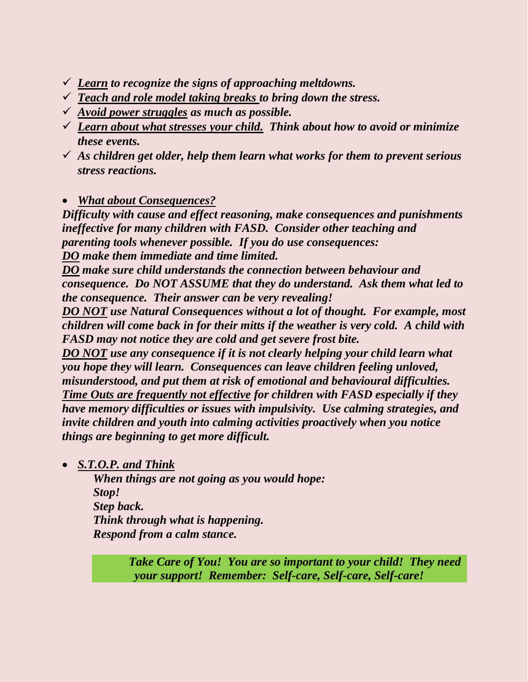- *Learn to recognize the signs of approaching meltdowns.*
- *Teach and role model taking breaks to bring down the stress.*
- *Avoid power struggles as much as possible.*
- *Learn about what stresses your child. Think about how to avoid or minimize these events.*
- *As children get older, help them learn what works for them to prevent serious stress reactions.*
- *What about Consequences?*

*Difficulty with cause and effect reasoning, make consequences and punishments ineffective for many children with FASD. Consider other teaching and parenting tools whenever possible. If you do use consequences: DO make them immediate and time limited.*

*DO make sure child understands the connection between behaviour and consequence. Do NOT ASSUME that they do understand. Ask them what led to the consequence. Their answer can be very revealing!*

*DO NOT use Natural Consequences without a lot of thought. For example, most children will come back in for their mitts if the weather is very cold. A child with FASD may not notice they are cold and get severe frost bite.*

*DO NOT use any consequence if it is not clearly helping your child learn what you hope they will learn. Consequences can leave children feeling unloved, misunderstood, and put them at risk of emotional and behavioural difficulties. Time Outs are frequently not effective for children with FASD especially if they have memory difficulties or issues with impulsivity. Use calming strategies, and invite children and youth into calming activities proactively when you notice things are beginning to get more difficult.*

*S.T.O.P. and Think*

*When things are not going as you would hope: Stop! Step back. Think through what is happening. Respond from a calm stance.* 

> *Take Care of You! You are so important to your child! They need your support! Remember: Self-care, Self-care, Self-care!*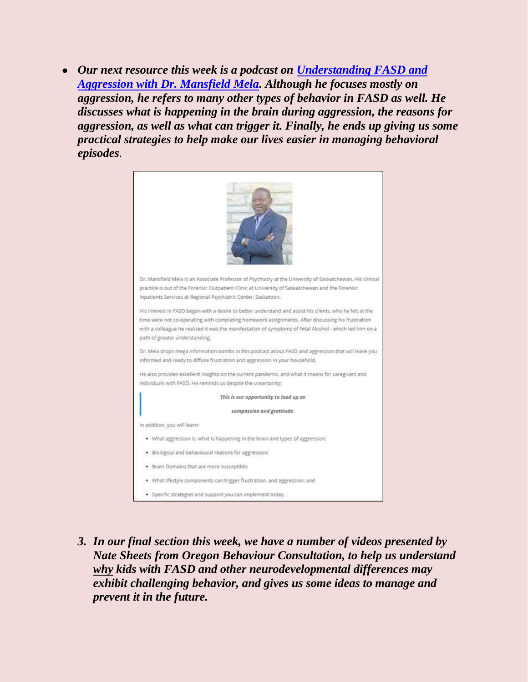*Our next resource this week is a podcast on [Understanding FASD and](https://www.fasdsuccess.com/blog/Fasdandagression)  [Aggression with Dr. Mansfield Mela.](https://www.fasdsuccess.com/blog/Fasdandagression) Although he focuses mostly on aggression, he refers to many other types of behavior in FASD as well. He discusses what is happening in the brain during aggression, the reasons for aggression, as well as what can trigger it. Finally, he ends up giving us some practical strategies to help make our lives easier in managing behavioral episodes.* 

| Dr. Mansfield Mela is an Associate Professor of Psychiatry at the University of Saskatchewan. His clinical |  |  |  |  |
|------------------------------------------------------------------------------------------------------------|--|--|--|--|
| practice is out of the Forensic Outpatient Clinic at University of Saskatchewan and the Forensic           |  |  |  |  |
| Inpatients Services at Regional Psychiatric Center, Saskatoon.                                             |  |  |  |  |
| His interest in FASD began with a desire to better understand and assist his clients, who he felt at the   |  |  |  |  |
| time were not co-operating with completing homework assignments. After discussing his frustration          |  |  |  |  |
| with a colleague he realized it was the manifestation of symptoms of Fetal Alcohol - which led him on a    |  |  |  |  |
| path of greater understanding.                                                                             |  |  |  |  |
| Dr. Mela drops mega information bombs in this podcast about FASD and aggression that will leave you        |  |  |  |  |
| informed and ready to diffuse frustration and aggression in your household.                                |  |  |  |  |
| He also provides excellent insights on the current pandemic, and what it means for caregivers and          |  |  |  |  |
| individuals with FASD. He reminds us despite the uncertainty:                                              |  |  |  |  |
| This is our opportunity to load up on                                                                      |  |  |  |  |
| compassion and gratitude.                                                                                  |  |  |  |  |
| In addition, you will learn:                                                                               |  |  |  |  |
| What aggression is, what is happening in the brain and types of aggression:                                |  |  |  |  |
| Biological and behavioural reasons for aggression;                                                         |  |  |  |  |
| · Brain Domains that are more susceptible;                                                                 |  |  |  |  |
| . What lifestyle components can trigger frustration and aggression: and                                    |  |  |  |  |
| · Specific strategies and support you can implement today.                                                 |  |  |  |  |

*3. In our final section this week, we have a number of videos presented by Nate Sheets from Oregon Behaviour Consultation, to help us understand why kids with FASD and other neurodevelopmental differences may exhibit challenging behavior, and gives us some ideas to manage and prevent it in the future.*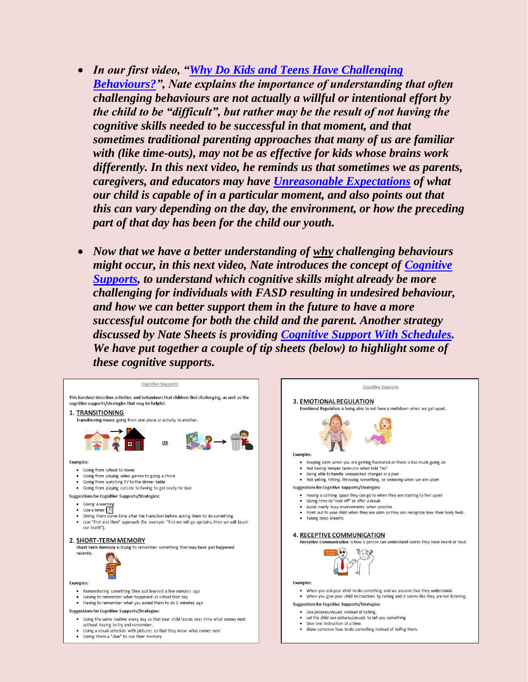- *In our first video, ["Why Do Kids and Teens Have Challenging](https://www.youtube.com/watch?v=LvVzfD5xseE)  [Behaviours?"](https://www.youtube.com/watch?v=LvVzfD5xseE), Nate explains the importance of understanding that often challenging behaviours are not actually a willful or intentional effort by the child to be "difficult", but rather may be the result of not having the cognitive skills needed to be successful in that moment, and that sometimes traditional parenting approaches that many of us are familiar with (like time-outs), may not be as effective for kids whose brains work differently. In this next video, he reminds us that sometimes we as parents, caregivers, and educators may have [Unreasonable Expectations](https://www.youtube.com/watch?v=UdDNKIvZ2oM) of what our child is capable of in a particular moment, and also points out that this can vary depending on the day, the environment, or how the preceding part of that day has been for the child our youth.*
- *Now that we have a better understanding of why challenging behaviours might occur, in this next video, Nate introduces the concept of [Cognitive](https://www.youtube.com/watch?v=u3GxwPbJFoQ)  [Supports,](https://www.youtube.com/watch?v=u3GxwPbJFoQ) to understand which cognitive skills might already be more challenging for individuals with FASD resulting in undesired behaviour, and how we can better support them in the future to have a more successful outcome for both the child and the parent. Another strategy discussed by Nate Sheets is providing [Cognitive Support With Schedules.](https://www.youtube.com/watch?v=hIM4iOVkJxY) We have put together a couple of tip sheets (below) to highlight some of these cognitive supports.*